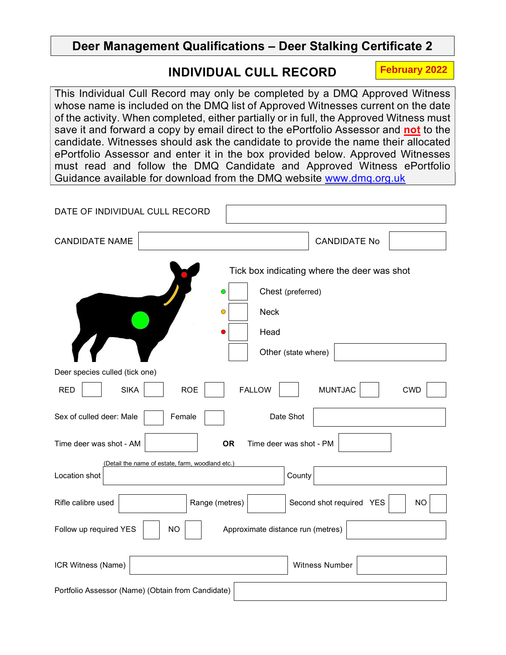# Deer Management Qualifications – Deer Stalking Certificate 2

# INDIVIDUAL CULL RECORD

**February 2022**

This Individual Cull Record may only be completed by a DMQ Approved Witness whose name is included on the DMQ list of Approved Witnesses current on the date of the activity. When completed, either partially or in full, the Approved Witness must save it and forward a copy by email direct to the ePortfolio Assessor and not to the candidate. Witnesses should ask the candidate to provide the name their allocated ePortfolio Assessor and enter it in the box provided below. Approved Witnesses must read and follow the DMQ Candidate and Approved Witness ePortfolio Guidance available for download from the DMQ website www.dmq.org.uk

| DATE OF INDIVIDUAL CULL RECORD                                           |                                             |
|--------------------------------------------------------------------------|---------------------------------------------|
| <b>CANDIDATE NAME</b>                                                    | <b>CANDIDATE No</b>                         |
|                                                                          | Tick box indicating where the deer was shot |
| O                                                                        | Chest (preferred)                           |
| <b>Neck</b><br>$\bullet$                                                 |                                             |
| Head                                                                     |                                             |
|                                                                          | Other (state where)                         |
| Deer species culled (tick one)                                           |                                             |
| <b>SIKA</b><br><b>ROE</b><br><b>RED</b><br><b>FALLOW</b>                 | <b>MUNTJAC</b><br><b>CWD</b>                |
| Sex of culled deer: Male<br>Date Shot<br>Female                          |                                             |
| <b>OR</b><br>Time deer was shot - AM                                     | Time deer was shot - PM                     |
| (Detail the name of estate, farm, woodland etc.)                         |                                             |
| Location shot                                                            | County                                      |
| Rifle calibre used<br>Range (metres)                                     | Second shot required YES<br><b>NO</b>       |
| Follow up required YES<br>Approximate distance run (metres)<br><b>NO</b> |                                             |
| ICR Witness (Name)                                                       | Witness Number                              |
|                                                                          |                                             |
| Portfolio Assessor (Name) (Obtain from Candidate)                        |                                             |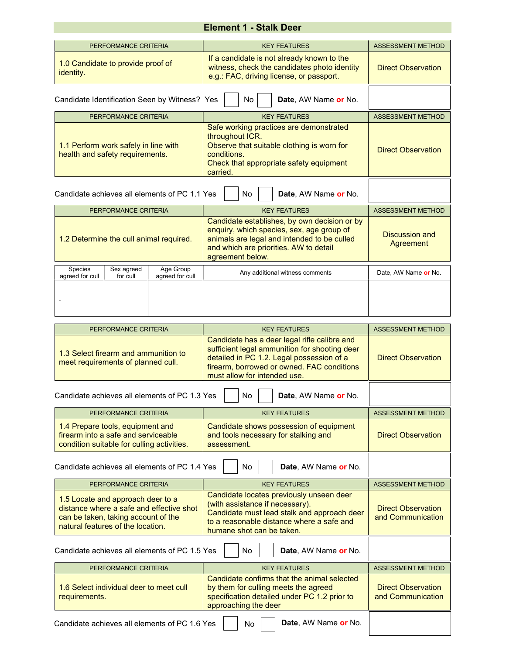# Element 1 - Stalk Deer

|                                                                                    | PERFORMANCE CRITERIA   |                                               | <b>KFY FFATURFS</b>                                                                                                                                                                                    | <b>ASSESSMENT METHOD</b>    |
|------------------------------------------------------------------------------------|------------------------|-----------------------------------------------|--------------------------------------------------------------------------------------------------------------------------------------------------------------------------------------------------------|-----------------------------|
| 1.0 Candidate to provide proof of<br>identity.                                     |                        |                                               | If a candidate is not already known to the<br>witness, check the candidates photo identity<br>e.g.: FAC, driving license, or passport.                                                                 | <b>Direct Observation</b>   |
|                                                                                    |                        | Candidate Identification Seen by Witness? Yes | <b>No</b><br>Date, AW Name or No.                                                                                                                                                                      |                             |
|                                                                                    | PERFORMANCE CRITERIA   |                                               | <b>KEY FEATURES</b>                                                                                                                                                                                    | <b>ASSESSMENT METHOD</b>    |
| 1.1 Perform work safely in line with<br>health and safety requirements.            |                        |                                               | Safe working practices are demonstrated<br>throughout ICR.<br>Observe that suitable clothing is worn for<br>conditions.<br>Check that appropriate safety equipment<br>carried.                         | <b>Direct Observation</b>   |
| Candidate achieves all elements of PC 1.1 Yes<br><b>No</b><br>Date, AW Name or No. |                        |                                               |                                                                                                                                                                                                        |                             |
|                                                                                    | PERFORMANCE CRITERIA   |                                               | <b>KEY FEATURES</b>                                                                                                                                                                                    | <b>ASSESSMENT METHOD</b>    |
| 1.2 Determine the cull animal required.                                            |                        |                                               | Candidate establishes, by own decision or by<br>enquiry, which species, sex, age group of<br>animals are legal and intended to be culled<br>and which are priorities. AW to detail<br>agreement below. | Discussion and<br>Agreement |
| Species<br>agreed for cull                                                         | Sex agreed<br>for cull | Age Group<br>agreed for cull                  | Any additional witness comments                                                                                                                                                                        | Date, AW Name or No.        |
|                                                                                    |                        |                                               |                                                                                                                                                                                                        |                             |
|                                                                                    | PERFORMANCE CRITERIA   |                                               | <b>KEY FEATURES</b>                                                                                                                                                                                    | <b>ASSESSMENT METHOD</b>    |

| PERFORMANCE CRITERIA                                                                                                                                      | <b>KEY FEATURES</b>                                                                                                                                                                                                      | <b>ASSESSMENT METHOD</b>                       |
|-----------------------------------------------------------------------------------------------------------------------------------------------------------|--------------------------------------------------------------------------------------------------------------------------------------------------------------------------------------------------------------------------|------------------------------------------------|
| 1.3 Select firearm and ammunition to<br>meet requirements of planned cull.                                                                                | Candidate has a deer legal rifle calibre and<br>sufficient legal ammunition for shooting deer<br>detailed in PC 1.2. Legal possession of a<br>firearm, borrowed or owned. FAC conditions<br>must allow for intended use. | <b>Direct Observation</b>                      |
| Candidate achieves all elements of PC 1.3 Yes                                                                                                             | No<br>Date, AW Name or No.                                                                                                                                                                                               |                                                |
| PERFORMANCE CRITERIA                                                                                                                                      | <b>KEY FEATURES</b>                                                                                                                                                                                                      | <b>ASSESSMENT METHOD</b>                       |
| 1.4 Prepare tools, equipment and<br>firearm into a safe and serviceable<br>condition suitable for culling activities.                                     | Candidate shows possession of equipment<br>and tools necessary for stalking and<br>assessment.                                                                                                                           | <b>Direct Observation</b>                      |
| Candidate achieves all elements of PC 1.4 Yes<br>No<br>Date, AW Name or No.                                                                               |                                                                                                                                                                                                                          |                                                |
|                                                                                                                                                           |                                                                                                                                                                                                                          |                                                |
| PERFORMANCE CRITERIA                                                                                                                                      | <b>KEY FEATURES</b>                                                                                                                                                                                                      | <b>ASSESSMENT METHOD</b>                       |
| 1.5 Locate and approach deer to a<br>distance where a safe and effective shot<br>can be taken, taking account of the<br>natural features of the location. | Candidate locates previously unseen deer<br>(with assistance if necessary).<br>Candidate must lead stalk and approach deer<br>to a reasonable distance where a safe and<br>humane shot can be taken.                     | <b>Direct Observation</b><br>and Communication |
| Candidate achieves all elements of PC 1.5 Yes                                                                                                             | No<br>Date, AW Name or No.                                                                                                                                                                                               |                                                |
| PERFORMANCE CRITERIA                                                                                                                                      | <b>KEY FEATURES</b>                                                                                                                                                                                                      | <b>ASSESSMENT METHOD</b>                       |
| 1.6 Select individual deer to meet cull<br>requirements.                                                                                                  | Candidate confirms that the animal selected<br>by them for culling meets the agreed<br>specification detailed under PC 1.2 prior to<br>approaching the deer                                                              | <b>Direct Observation</b><br>and Communication |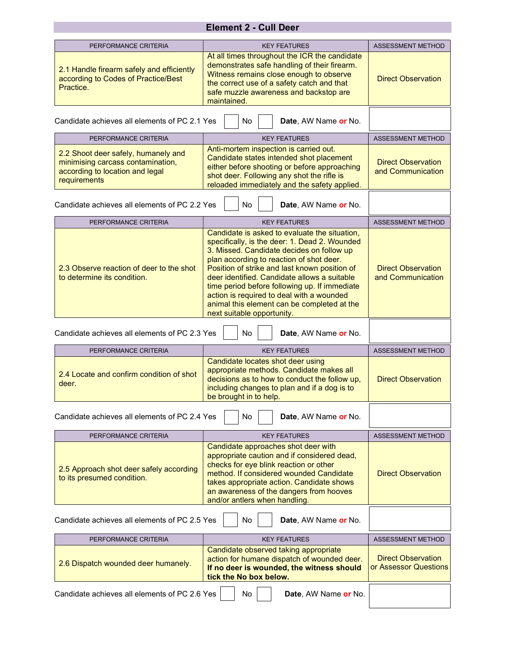## Element 2 - Cull Deer

| PERFORMANCE CRITERIA                                                                                                        | <b>KEY FEATURES</b>                                                                                                                                                                                                                                                                                                                                                                                                                                                 | <b>ASSESSMENT METHOD</b>                           |
|-----------------------------------------------------------------------------------------------------------------------------|---------------------------------------------------------------------------------------------------------------------------------------------------------------------------------------------------------------------------------------------------------------------------------------------------------------------------------------------------------------------------------------------------------------------------------------------------------------------|----------------------------------------------------|
| 2.1 Handle firearm safely and efficiently<br>according to Codes of Practice/Best<br>Practice.                               | At all times throughout the ICR the candidate<br>demonstrates safe handling of their firearm.<br>Witness remains close enough to observe<br>the correct use of a safety catch and that<br>safe muzzle awareness and backstop are<br>maintained.                                                                                                                                                                                                                     | <b>Direct Observation</b>                          |
| Candidate achieves all elements of PC 2.1 Yes                                                                               | No<br>Date, AW Name or No.                                                                                                                                                                                                                                                                                                                                                                                                                                          |                                                    |
| PERFORMANCE CRITERIA                                                                                                        | <b>KEY FEATURES</b>                                                                                                                                                                                                                                                                                                                                                                                                                                                 | <b>ASSESSMENT METHOD</b>                           |
| 2.2 Shoot deer safely, humanely and<br>minimising carcass contamination,<br>according to location and legal<br>requirements | Anti-mortem inspection is carried out.<br>Candidate states intended shot placement<br>either before shooting or before approaching<br>shot deer. Following any shot the rifle is<br>reloaded immediately and the safety applied.                                                                                                                                                                                                                                    | <b>Direct Observation</b><br>and Communication     |
| Candidate achieves all elements of PC 2.2 Yes                                                                               | No<br>Date, AW Name or No.                                                                                                                                                                                                                                                                                                                                                                                                                                          |                                                    |
| PERFORMANCE CRITERIA                                                                                                        | <b>KEY FEATURES</b>                                                                                                                                                                                                                                                                                                                                                                                                                                                 | <b>ASSESSMENT METHOD</b>                           |
| 2.3 Observe reaction of deer to the shot<br>to determine its condition.                                                     | Candidate is asked to evaluate the situation,<br>specifically, is the deer: 1. Dead 2. Wounded<br>3. Missed. Candidate decides on follow up<br>plan according to reaction of shot deer.<br>Position of strike and last known position of<br>deer identified. Candidate allows a suitable<br>time period before following up. If immediate<br>action is required to deal with a wounded<br>animal this element can be completed at the<br>next suitable opportunity. | <b>Direct Observation</b><br>and Communication     |
|                                                                                                                             |                                                                                                                                                                                                                                                                                                                                                                                                                                                                     |                                                    |
| Candidate achieves all elements of PC 2.3 Yes                                                                               | No<br>Date, AW Name or No.                                                                                                                                                                                                                                                                                                                                                                                                                                          |                                                    |
| PERFORMANCE CRITERIA                                                                                                        | <b>KEY FEATURES</b>                                                                                                                                                                                                                                                                                                                                                                                                                                                 | <b>ASSESSMENT METHOD</b>                           |
| 2.4 Locate and confirm condition of shot<br>deer.                                                                           | Candidate locates shot deer using<br>appropriate methods. Candidate makes all<br>decisions as to how to conduct the follow up,<br>including changes to plan and if a dog is to<br>be brought in to help.                                                                                                                                                                                                                                                            | <b>Direct Observation</b>                          |
| Candidate achieves all elements of PC 2.4 Yes                                                                               | No<br>Date, AW Name or No.                                                                                                                                                                                                                                                                                                                                                                                                                                          |                                                    |
| PERFORMANCE CRITERIA                                                                                                        | <b>KEY FEATURES</b>                                                                                                                                                                                                                                                                                                                                                                                                                                                 | <b>ASSESSMENT METHOD</b>                           |
| 2.5 Approach shot deer safely according<br>to its presumed condition.                                                       | Candidate approaches shot deer with<br>appropriate caution and if considered dead,<br>checks for eye blink reaction or other<br>method. If considered wounded Candidate<br>takes appropriate action. Candidate shows<br>an awareness of the dangers from hooves<br>and/or antlers when handling.                                                                                                                                                                    | <b>Direct Observation</b>                          |
| Candidate achieves all elements of PC 2.5 Yes                                                                               | No<br>Date, AW Name or No.                                                                                                                                                                                                                                                                                                                                                                                                                                          |                                                    |
| PERFORMANCE CRITERIA                                                                                                        | <b>KEY FEATURES</b>                                                                                                                                                                                                                                                                                                                                                                                                                                                 | <b>ASSESSMENT METHOD</b>                           |
| 2.6 Dispatch wounded deer humanely.                                                                                         | Candidate observed taking appropriate<br>action for humane dispatch of wounded deer.<br>If no deer is wounded, the witness should<br>tick the No box below.                                                                                                                                                                                                                                                                                                         | <b>Direct Observation</b><br>or Assessor Questions |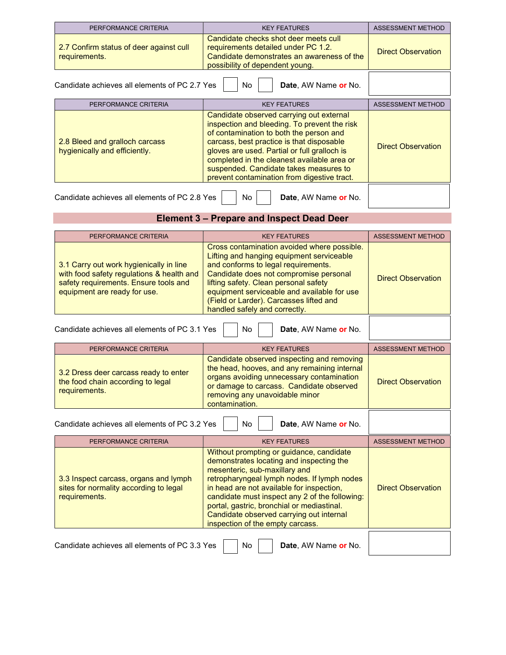| PERFORMANCE CRITERIA                                                        | <b>KEY FEATURES</b>                                                                                                                                                                                                                                                                                                                                                      | <b>ASSESSMENT METHOD</b>  |  |
|-----------------------------------------------------------------------------|--------------------------------------------------------------------------------------------------------------------------------------------------------------------------------------------------------------------------------------------------------------------------------------------------------------------------------------------------------------------------|---------------------------|--|
| 2.7 Confirm status of deer against cull<br>requirements.                    | Candidate checks shot deer meets cull<br>requirements detailed under PC 1.2.<br>Candidate demonstrates an awareness of the<br>possibility of dependent young.                                                                                                                                                                                                            | <b>Direct Observation</b> |  |
| Candidate achieves all elements of PC 2.7 Yes<br>No<br>Date, AW Name or No. |                                                                                                                                                                                                                                                                                                                                                                          |                           |  |
| PERFORMANCE CRITERIA                                                        | <b>KEY FEATURES</b>                                                                                                                                                                                                                                                                                                                                                      | <b>ASSESSMENT METHOD</b>  |  |
| 2.8 Bleed and gralloch carcass<br>hygienically and efficiently.             | Candidate observed carrying out external<br>inspection and bleeding. To prevent the risk<br>of contamination to both the person and<br>carcass, best practice is that disposable<br>gloves are used. Partial or full gralloch is<br>completed in the cleanest available area or<br>suspended. Candidate takes measures to<br>prevent contamination from digestive tract. | <b>Direct Observation</b> |  |
| Candidate achieves all elements of PC 2.8 Yes                               | No.<br><b>Date</b> , AW Name or No.                                                                                                                                                                                                                                                                                                                                      |                           |  |

### Element 3 – Prepare and Inspect Dead Deer

| PERFORMANCE CRITERIA                                                                                                                                          | <b>KEY FEATURES</b>                                                                                                                                                                                                                                                                                                                           | <b>ASSESSMENT METHOD</b>  |
|---------------------------------------------------------------------------------------------------------------------------------------------------------------|-----------------------------------------------------------------------------------------------------------------------------------------------------------------------------------------------------------------------------------------------------------------------------------------------------------------------------------------------|---------------------------|
| 3.1 Carry out work hygienically in line<br>with food safety regulations & health and<br>safety requirements. Ensure tools and<br>equipment are ready for use. | Cross contamination avoided where possible.<br>Lifting and hanging equipment serviceable<br>and conforms to legal requirements.<br>Candidate does not compromise personal<br>lifting safety. Clean personal safety<br>equipment serviceable and available for use<br>(Field or Larder). Carcasses lifted and<br>handled safely and correctly. | <b>Direct Observation</b> |
| Candidate achieves all elements of PC 3.1 Yes                                                                                                                 | No<br><b>Date.</b> AW Name or No.                                                                                                                                                                                                                                                                                                             |                           |

| PERFORMANCE CRITERIA                                                                        | <b>KEY FEATURES</b>                                                                                                                                                                                                                     | <b>ASSESSMENT METHOD</b>  |
|---------------------------------------------------------------------------------------------|-----------------------------------------------------------------------------------------------------------------------------------------------------------------------------------------------------------------------------------------|---------------------------|
| 3.2 Dress deer carcass ready to enter<br>the food chain according to legal<br>requirements. | Candidate observed inspecting and removing<br>the head, hooves, and any remaining internal<br>organs avoiding unnecessary contamination<br>or damage to carcass. Candidate observed<br>removing any unavoidable minor<br>contamination. | <b>Direct Observation</b> |
| Candidate achieves all elements of PC 3.2 Yes                                               | Date, AW Name or No.<br>No.                                                                                                                                                                                                             |                           |

| PERFORMANCE CRITERIA                                                                             | <b>KEY FEATURES</b>                                                                                                                                                                                                                                                                                                                                                                               | <b>ASSESSMENT METHOD</b>  |
|--------------------------------------------------------------------------------------------------|---------------------------------------------------------------------------------------------------------------------------------------------------------------------------------------------------------------------------------------------------------------------------------------------------------------------------------------------------------------------------------------------------|---------------------------|
| 3.3 Inspect carcass, organs and lymph<br>sites for normality according to legal<br>requirements. | Without prompting or guidance, candidate<br>demonstrates locating and inspecting the<br>mesenteric, sub-maxillary and<br>retropharyngeal lymph nodes. If lymph nodes<br>in head are not available for inspection,<br>candidate must inspect any 2 of the following:<br>portal, gastric, bronchial or mediastinal.<br>Candidate observed carrying out internal<br>inspection of the empty carcass. | <b>Direct Observation</b> |
|                                                                                                  |                                                                                                                                                                                                                                                                                                                                                                                                   |                           |

Candidate achieves all elements of PC 3.3 Yes  $\Box$  No Date, AW Name or No.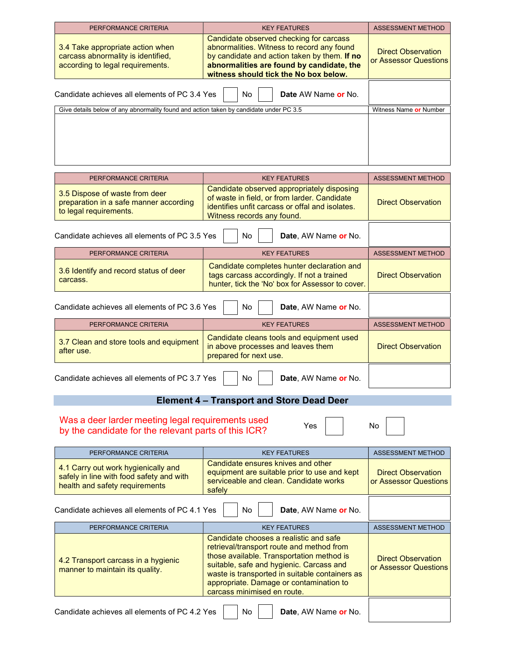| PERFORMANCE CRITERIA                                                                                       | <b>KEY FEATURES</b>                                                                                                                                                                                                         | <b>ASSESSMENT METHOD</b>                           |
|------------------------------------------------------------------------------------------------------------|-----------------------------------------------------------------------------------------------------------------------------------------------------------------------------------------------------------------------------|----------------------------------------------------|
| 3.4 Take appropriate action when<br>carcass abnormality is identified.<br>according to legal requirements. | Candidate observed checking for carcass<br>abnormalities. Witness to record any found<br>by candidate and action taken by them. If no<br>abnormalities are found by candidate, the<br>witness should tick the No box below. | <b>Direct Observation</b><br>or Assessor Questions |
| Candidate achieves all elements of PC 3.4 Yes                                                              | No.<br>Date AW Name or No.                                                                                                                                                                                                  |                                                    |
| Give details below of any abnormality found and action taken by candidate under PC 3.5                     |                                                                                                                                                                                                                             | Witness Name or Number                             |
|                                                                                                            |                                                                                                                                                                                                                             |                                                    |

| PERFORMANCE CRITERIA                                                                               | <b>KEY FEATURES</b>                                                                                                                                                         | <b>ASSESSMENT METHOD</b>  |
|----------------------------------------------------------------------------------------------------|-----------------------------------------------------------------------------------------------------------------------------------------------------------------------------|---------------------------|
| 3.5 Dispose of waste from deer<br>preparation in a safe manner according<br>to legal requirements. | Candidate observed appropriately disposing<br>of waste in field, or from larder. Candidate<br>identifies unfit carcass or offal and isolates.<br>Witness records any found. | <b>Direct Observation</b> |
| Candidate achieves all elements of PC 3.5 Yes                                                      | No.<br>Date, AW Name or No.                                                                                                                                                 |                           |
| PERFORMANCE CRITERIA                                                                               | <b>KEY FEATURES</b>                                                                                                                                                         | <b>ASSESSMENT METHOD</b>  |
| 3.6 Identify and record status of deer<br>carcass.                                                 | Candidate completes hunter declaration and<br>tags carcass accordingly. If not a trained<br>hunter, tick the 'No' box for Assessor to cover.                                | <b>Direct Observation</b> |
| Candidate achieves all elements of PC 3.6 Yes                                                      |                                                                                                                                                                             |                           |
| PERFORMANCE CRITERIA                                                                               | <b>KEY FEATURES</b>                                                                                                                                                         | <b>ASSESSMENT METHOD</b>  |
| 3.7 Clean and store tools and equipment<br>after use.                                              | Candidate cleans tools and equipment used<br>in above processes and leaves them<br>prepared for next use.                                                                   | <b>Direct Observation</b> |
| Candidate achieves all elements of PC 3.7 Yes                                                      | Date, AW Name or No.<br>No.                                                                                                                                                 |                           |

## Element 4 – Transport and Store Dead Deer

#### Was a deer larder meeting legal requirements used by the candidate for the relevant parts of this  $ICR$ ?

| PERFORMANCE CRITERIA                                                                                              | <b>KEY FEATURES</b>                                                                                                                                                                                                                                                                                      | <b>ASSESSMENT METHOD</b>                           |
|-------------------------------------------------------------------------------------------------------------------|----------------------------------------------------------------------------------------------------------------------------------------------------------------------------------------------------------------------------------------------------------------------------------------------------------|----------------------------------------------------|
| 4.1 Carry out work hygienically and<br>safely in line with food safety and with<br>health and safety requirements | Candidate ensures knives and other<br>equipment are suitable prior to use and kept<br>serviceable and clean. Candidate works<br>safely                                                                                                                                                                   | <b>Direct Observation</b><br>or Assessor Questions |
| Candidate achieves all elements of PC 4.1 Yes                                                                     | No.<br>Date, AW Name or No.                                                                                                                                                                                                                                                                              |                                                    |
| PERFORMANCE CRITERIA                                                                                              | <b>KEY FEATURES</b>                                                                                                                                                                                                                                                                                      | <b>ASSESSMENT METHOD</b>                           |
| 4.2 Transport carcass in a hygienic<br>manner to maintain its quality.                                            | Candidate chooses a realistic and safe<br>retrieval/transport route and method from<br>those available. Transportation method is<br>suitable, safe and hygienic. Carcass and<br>waste is transported in suitable containers as<br>appropriate. Damage or contamination to<br>carcass minimised en route. | <b>Direct Observation</b><br>or Assessor Questions |
| Candidate achieves all elements of PC 4.2 Yes                                                                     | No.<br>Date, AW Name or No.                                                                                                                                                                                                                                                                              |                                                    |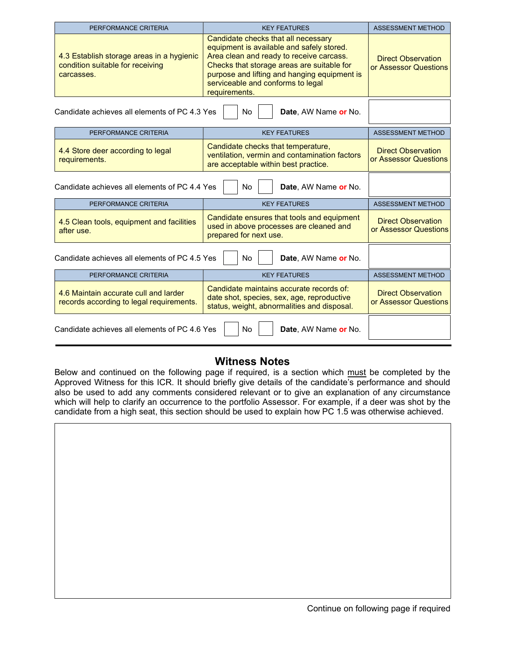| PERFORMANCE CRITERIA                                                                        | <b>KEY FEATURES</b>                                                                                                                                                                                                                                                              | <b>ASSESSMENT METHOD</b>                           |
|---------------------------------------------------------------------------------------------|----------------------------------------------------------------------------------------------------------------------------------------------------------------------------------------------------------------------------------------------------------------------------------|----------------------------------------------------|
| 4.3 Establish storage areas in a hygienic<br>condition suitable for receiving<br>carcasses. | Candidate checks that all necessary<br>equipment is available and safely stored.<br>Area clean and ready to receive carcass.<br>Checks that storage areas are suitable for<br>purpose and lifting and hanging equipment is<br>serviceable and conforms to legal<br>requirements. | <b>Direct Observation</b><br>or Assessor Questions |
| Candidate achieves all elements of PC 4.3 Yes                                               | No<br>Date, AW Name or No.                                                                                                                                                                                                                                                       |                                                    |
| PERFORMANCE CRITERIA                                                                        | <b>KEY FEATURES</b>                                                                                                                                                                                                                                                              | ASSESSMENT METHOD                                  |
| 4.4 Store deer according to legal<br>requirements.                                          | Candidate checks that temperature,<br>ventilation, vermin and contamination factors<br>are acceptable within best practice.                                                                                                                                                      | <b>Direct Observation</b><br>or Assessor Questions |
| Candidate achieves all elements of PC 4.4 Yes                                               | No<br>Date, AW Name or No.                                                                                                                                                                                                                                                       |                                                    |
| PERFORMANCE CRITERIA                                                                        | <b>KEY FEATURES</b>                                                                                                                                                                                                                                                              | <b>ASSESSMENT METHOD</b>                           |
| 4.5 Clean tools, equipment and facilities<br>after use.                                     | Candidate ensures that tools and equipment<br>used in above processes are cleaned and<br>prepared for next use.                                                                                                                                                                  | <b>Direct Observation</b><br>or Assessor Questions |
| Candidate achieves all elements of PC 4.5 Yes                                               |                                                                                                                                                                                                                                                                                  |                                                    |
| PERFORMANCE CRITERIA                                                                        | <b>KEY FEATURES</b>                                                                                                                                                                                                                                                              | <b>ASSESSMENT METHOD</b>                           |
| 4.6 Maintain accurate cull and larder<br>records according to legal requirements.           | Candidate maintains accurate records of:<br>date shot, species, sex, age, reproductive<br>status, weight, abnormalities and disposal.                                                                                                                                            | <b>Direct Observation</b><br>or Assessor Questions |
| Candidate achieves all elements of PC 4.6 Yes                                               | No<br>Date, AW Name or No.                                                                                                                                                                                                                                                       |                                                    |

#### Witness Notes

Below and continued on the following page if required, is a section which must be completed by the Approved Witness for this ICR. It should briefly give details of the candidate's performance and should also be used to add any comments considered relevant or to give an explanation of any circumstance which will help to clarify an occurrence to the portfolio Assessor. For example, if a deer was shot by the candidate from a high seat, this section should be used to explain how PC 1.5 was otherwise achieved.